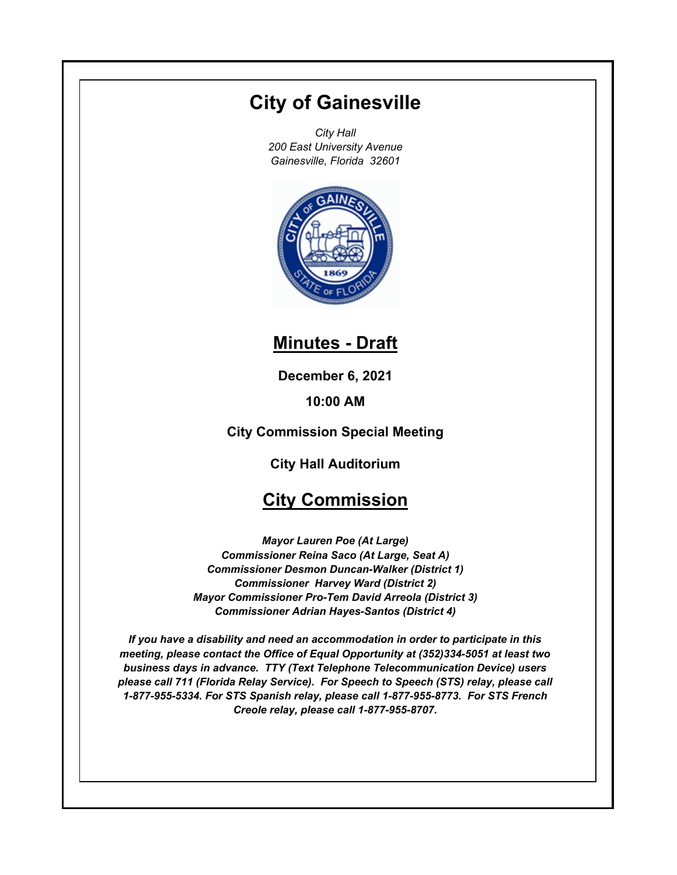# **City of Gainesville**

*City Hall 200 East University Avenue Gainesville, Florida 32601*



## **Minutes - Draft**

**December 6, 2021**

**10:00 AM**

**City Commission Special Meeting**

**City Hall Auditorium**

### **City Commission**

*Mayor Lauren Poe (At Large) Commissioner Reina Saco (At Large, Seat A) Commissioner Desmon Duncan-Walker (District 1) Commissioner Harvey Ward (District 2) Mayor Commissioner Pro-Tem David Arreola (District 3) Commissioner Adrian Hayes-Santos (District 4)*

*If you have a disability and need an accommodation in order to participate in this meeting, please contact the Office of Equal Opportunity at (352)334-5051 at least two business days in advance. TTY (Text Telephone Telecommunication Device) users please call 711 (Florida Relay Service). For Speech to Speech (STS) relay, please call 1-877-955-5334. For STS Spanish relay, please call 1-877-955-8773. For STS French Creole relay, please call 1-877-955-8707.*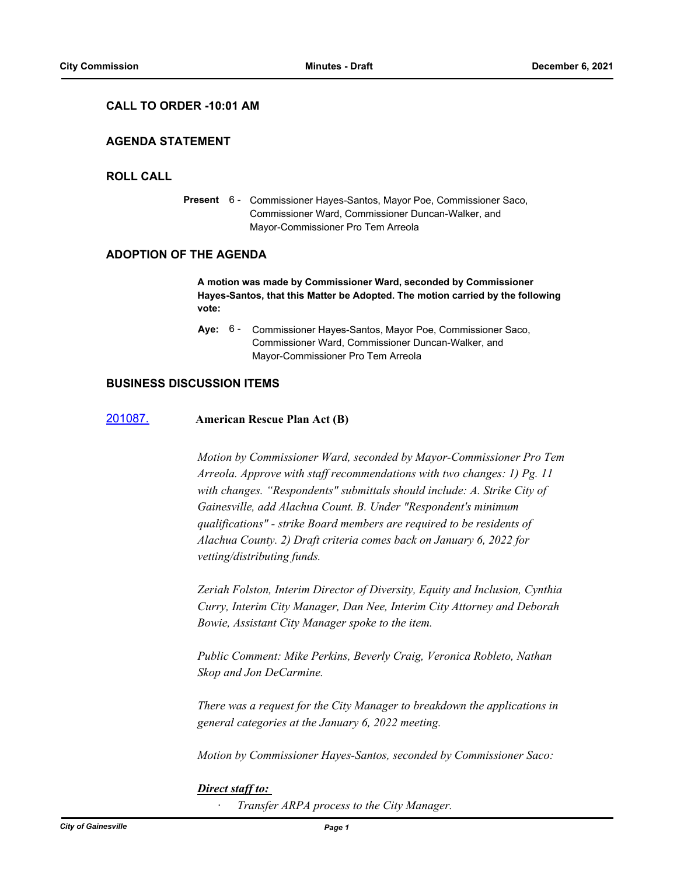#### **CALL TO ORDER -10:01 AM**

#### **AGENDA STATEMENT**

#### **ROLL CALL**

Present 6 - Commissioner Hayes-Santos, Mayor Poe, Commissioner Saco, Commissioner Ward, Commissioner Duncan-Walker, and Mayor-Commissioner Pro Tem Arreola

#### **ADOPTION OF THE AGENDA**

**A motion was made by Commissioner Ward, seconded by Commissioner Hayes-Santos, that this Matter be Adopted. The motion carried by the following vote:**

**Aye:** Commissioner Hayes-Santos, Mayor Poe, Commissioner Saco, Commissioner Ward, Commissioner Duncan-Walker, and Mayor-Commissioner Pro Tem Arreola Aye: 6 -

#### **BUSINESS DISCUSSION ITEMS**

#### [201087.](http://gainesville.legistar.com/gateway.aspx?m=l&id=/matter.aspx?key=32630) **American Rescue Plan Act (B)**

*Motion by Commissioner Ward, seconded by Mayor-Commissioner Pro Tem Arreola. Approve with staff recommendations with two changes: 1) Pg. 11 with changes. "Respondents" submittals should include: A. Strike City of Gainesville, add Alachua Count. B. Under "Respondent's minimum qualifications" - strike Board members are required to be residents of Alachua County. 2) Draft criteria comes back on January 6, 2022 for vetting/distributing funds.* 

*Zeriah Folston, Interim Director of Diversity, Equity and Inclusion, Cynthia Curry, Interim City Manager, Dan Nee, Interim City Attorney and Deborah Bowie, Assistant City Manager spoke to the item.*

*Public Comment: Mike Perkins, Beverly Craig, Veronica Robleto, Nathan Skop and Jon DeCarmine.*

*There was a request for the City Manager to breakdown the applications in general categories at the January 6, 2022 meeting.*

*Motion by Commissioner Hayes-Santos, seconded by Commissioner Saco:*

#### *Direct staff to:*

*· Transfer ARPA process to the City Manager.*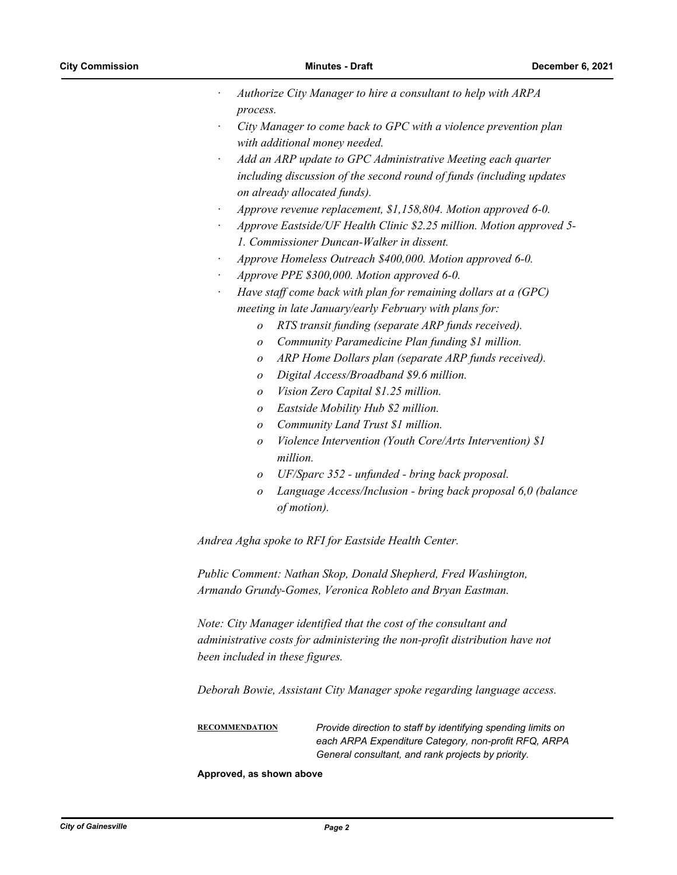- *· Authorize City Manager to hire a consultant to help with ARPA process.*
- *· City Manager to come back to GPC with a violence prevention plan with additional money needed.*
- *· Add an ARP update to GPC Administrative Meeting each quarter including discussion of the second round of funds (including updates on already allocated funds).*
- *· Approve revenue replacement, \$1,158,804. Motion approved 6-0.*
- *· Approve Eastside/UF Health Clinic \$2.25 million. Motion approved 5- 1. Commissioner Duncan-Walker in dissent.*
- *· Approve Homeless Outreach \$400,000. Motion approved 6-0.*
- *· Approve PPE \$300,000. Motion approved 6-0.*
- *· Have staff come back with plan for remaining dollars at a (GPC) meeting in late January/early February with plans for:* 
	- *o RTS transit funding (separate ARP funds received).*
	- *o Community Paramedicine Plan funding \$1 million.*
	- *o ARP Home Dollars plan (separate ARP funds received).*
	- *o Digital Access/Broadband \$9.6 million.*
	- *o Vision Zero Capital \$1.25 million.*
	- *o Eastside Mobility Hub \$2 million.*
	- *o Community Land Trust \$1 million.*
	- *o Violence Intervention (Youth Core/Arts Intervention) \$1 million.*
	- *o UF/Sparc 352 unfunded bring back proposal.*
	- *o Language Access/Inclusion bring back proposal 6,0 (balance of motion).*

*Andrea Agha spoke to RFI for Eastside Health Center.*

*Public Comment: Nathan Skop, Donald Shepherd, Fred Washington, Armando Grundy-Gomes, Veronica Robleto and Bryan Eastman.*

*Note: City Manager identified that the cost of the consultant and administrative costs for administering the non-profit distribution have not been included in these figures.*

*Deborah Bowie, Assistant City Manager spoke regarding language access.*

**RECOMMENDATION** *Provide direction to staff by identifying spending limits on each ARPA Expenditure Category, non-profit RFQ, ARPA General consultant, and rank projects by priority.*

#### **Approved, as shown above**